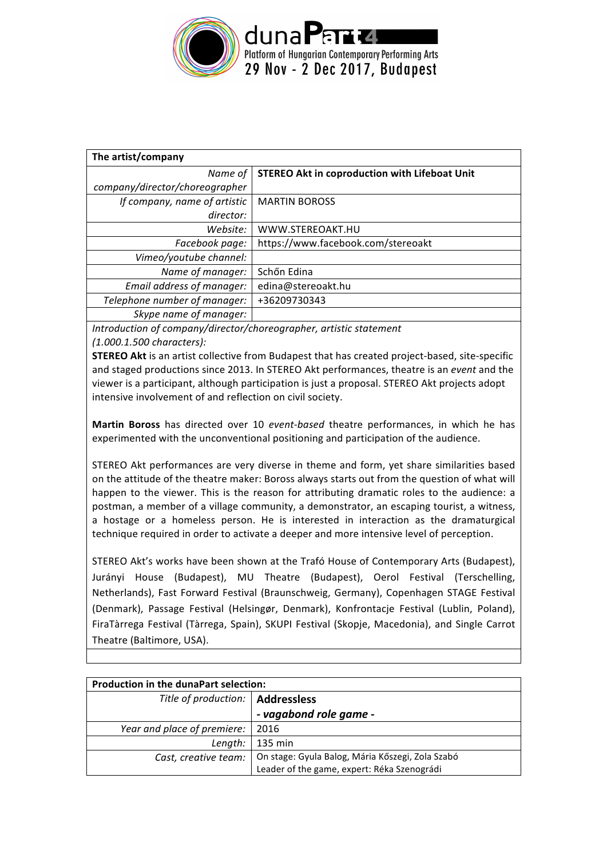

| The artist/company             |                                                      |  |  |
|--------------------------------|------------------------------------------------------|--|--|
| Name of                        | <b>STEREO Akt in coproduction with Lifeboat Unit</b> |  |  |
| company/director/choreographer |                                                      |  |  |
| If company, name of artistic   | <b>MARTIN BOROSS</b>                                 |  |  |
| director:                      |                                                      |  |  |
| Website:                       | WWW.STEREOAKT.HU                                     |  |  |
| Facebook page:                 | https://www.facebook.com/stereoakt                   |  |  |
| Vimeo/youtube channel:         |                                                      |  |  |
| Name of manager:               | Schőn Edina                                          |  |  |
| Email address of manager:      | edina@stereoakt.hu                                   |  |  |
| Telephone number of manager:   | +36209730343                                         |  |  |
| Skype name of manager:         |                                                      |  |  |

Introduction of company/director/choreographer, artistic statement *(1.000.1.500 characters):* 

**STEREO Akt** is an artist collective from Budapest that has created project-based, site-specific and staged productions since 2013. In STEREO Akt performances, theatre is an *event* and the viewer is a participant, although participation is just a proposal. STEREO Akt projects adopt intensive involvement of and reflection on civil society.

**Martin Boross** has directed over 10 *event-based* theatre performances, in which he has experimented with the unconventional positioning and participation of the audience.

STEREO Akt performances are very diverse in theme and form, yet share similarities based on the attitude of the theatre maker: Boross always starts out from the question of what will happen to the viewer. This is the reason for attributing dramatic roles to the audience: a postman, a member of a village community, a demonstrator, an escaping tourist, a witness, a hostage or a homeless person. He is interested in interaction as the dramaturgical technique required in order to activate a deeper and more intensive level of perception.

STEREO Akt's works have been shown at the Trafó House of Contemporary Arts (Budapest), Jurányi House (Budapest), MU Theatre (Budapest), Oerol Festival (Terschelling, Netherlands), Fast Forward Festival (Braunschweig, Germany), Copenhagen STAGE Festival (Denmark), Passage Festival (Helsingør, Denmark), Konfrontacje Festival (Lublin, Poland), FiraTàrrega Festival (Tàrrega, Spain), SKUPI Festival (Skopje, Macedonia), and Single Carrot Theatre (Baltimore, USA).

| <b>Production in the dunaPart selection:</b> |                                                                                                                      |  |
|----------------------------------------------|----------------------------------------------------------------------------------------------------------------------|--|
| Title of production:   Addressless           |                                                                                                                      |  |
|                                              | - vagabond role game -                                                                                               |  |
| Year and place of premiere:   2016           |                                                                                                                      |  |
|                                              | Length:   135 min                                                                                                    |  |
|                                              | Cast, creative team: On stage: Gyula Balog, Mária Kőszegi, Zola Szabó<br>Leader of the game, expert: Réka Szenográdi |  |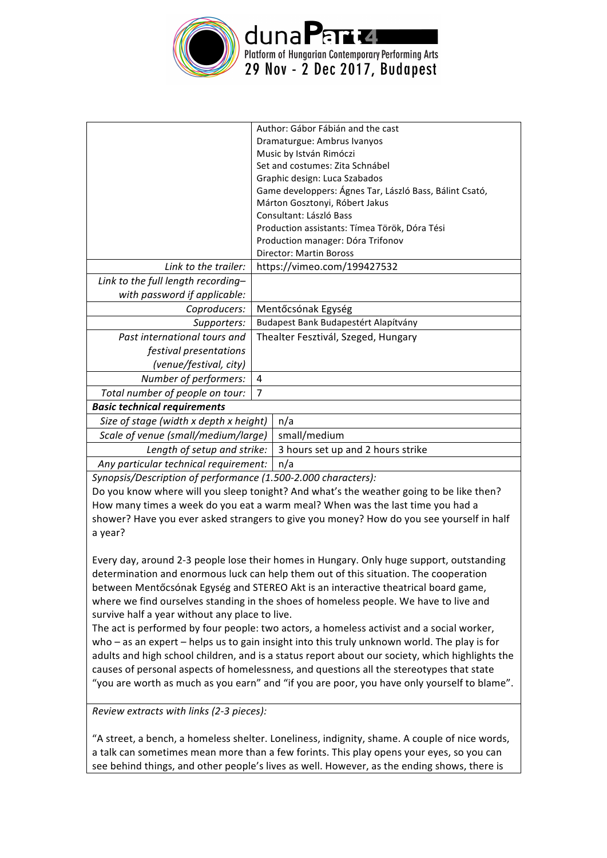

|                                        |                                      | Author: Gábor Fábián and the cast                       |
|----------------------------------------|--------------------------------------|---------------------------------------------------------|
|                                        |                                      | Dramaturgue: Ambrus Ivanyos                             |
|                                        |                                      | Music by István Rimóczi                                 |
|                                        |                                      | Set and costumes: Zita Schnábel                         |
|                                        |                                      | Graphic design: Luca Szabados                           |
|                                        |                                      | Game developpers: Ágnes Tar, László Bass, Bálint Csató, |
|                                        |                                      | Márton Gosztonyi, Róbert Jakus                          |
|                                        |                                      | Consultant: László Bass                                 |
|                                        |                                      | Production assistants: Tímea Török, Dóra Tési           |
|                                        |                                      | Production manager: Dóra Trifonov                       |
|                                        |                                      | <b>Director: Martin Boross</b>                          |
| Link to the trailer:                   |                                      | https://vimeo.com/199427532                             |
| Link to the full length recording-     |                                      |                                                         |
| with password if applicable:           |                                      |                                                         |
| Coproducers:                           |                                      | Mentőcsónak Egység                                      |
| Supporters:                            | Budapest Bank Budapestért Alapítvány |                                                         |
| Past international tours and           | Thealter Fesztivál, Szeged, Hungary  |                                                         |
| festival presentations                 |                                      |                                                         |
| (venue/festival, city)                 |                                      |                                                         |
| Number of performers:                  | 4                                    |                                                         |
| Total number of people on tour:        | $\overline{7}$                       |                                                         |
| <b>Basic technical requirements</b>    |                                      |                                                         |
| Size of stage (width x depth x height) |                                      | n/a                                                     |
| Scale of venue (small/medium/large)    |                                      | small/medium                                            |
| Length of setup and strike:            |                                      | 3 hours set up and 2 hours strike                       |
| Any particular technical requirement:  |                                      | n/a                                                     |

Synopsis/Description of performance (1.500-2.000 characters):

Do you know where will you sleep tonight? And what's the weather going to be like then? How many times a week do you eat a warm meal? When was the last time you had a shower? Have you ever asked strangers to give you money? How do you see yourself in half a year?

Every day, around 2-3 people lose their homes in Hungary. Only huge support, outstanding determination and enormous luck can help them out of this situation. The cooperation between Mentőcsónak Egység and STEREO Akt is an interactive theatrical board game, where we find ourselves standing in the shoes of homeless people. We have to live and survive half a year without any place to live.

The act is performed by four people: two actors, a homeless activist and a social worker, who – as an expert – helps us to gain insight into this truly unknown world. The play is for adults and high school children, and is a status report about our society, which highlights the causes of personal aspects of homelessness, and questions all the stereotypes that state "you are worth as much as you earn" and "if you are poor, you have only yourself to blame".

*Review extracts with links (2-3 pieces):* 

"A street, a bench, a homeless shelter. Loneliness, indignity, shame. A couple of nice words, a talk can sometimes mean more than a few forints. This play opens your eyes, so you can see behind things, and other people's lives as well. However, as the ending shows, there is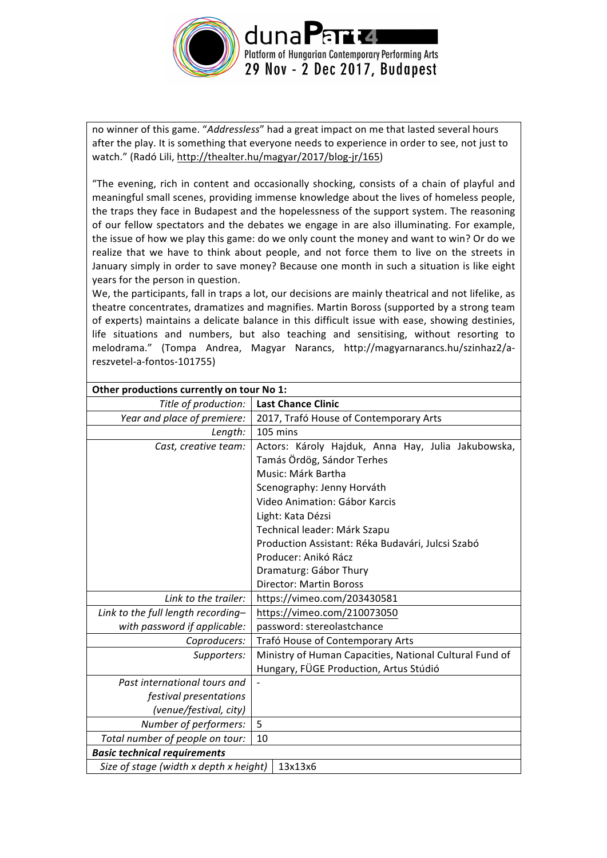

no winner of this game. "*Addressless*" had a great impact on me that lasted several hours after the play. It is something that everyone needs to experience in order to see, not just to watch." (Radó Lili, http://thealter.hu/magyar/2017/blog-jr/165)

"The evening, rich in content and occasionally shocking, consists of a chain of playful and meaningful small scenes, providing immense knowledge about the lives of homeless people, the traps they face in Budapest and the hopelessness of the support system. The reasoning of our fellow spectators and the debates we engage in are also illuminating. For example, the issue of how we play this game: do we only count the money and want to win? Or do we realize that we have to think about people, and not force them to live on the streets in January simply in order to save money? Because one month in such a situation is like eight years for the person in question.

We, the participants, fall in traps a lot, our decisions are mainly theatrical and not lifelike, as theatre concentrates, dramatizes and magnifies. Martin Boross (supported by a strong team of experts) maintains a delicate balance in this difficult issue with ease, showing destinies, life situations and numbers, but also teaching and sensitising, without resorting to melodrama." (Tompa Andrea, Magyar Narancs, http://magyarnarancs.hu/szinhaz2/areszvetel-a-fontos-101755)

| Other productions currently on tour No 1: |                                                         |  |  |
|-------------------------------------------|---------------------------------------------------------|--|--|
| Title of production:                      | <b>Last Chance Clinic</b>                               |  |  |
| Year and place of premiere:               | 2017, Trafó House of Contemporary Arts                  |  |  |
| Length:                                   | 105 mins                                                |  |  |
| Cast, creative team:                      | Actors: Károly Hajduk, Anna Hay, Julia Jakubowska,      |  |  |
|                                           | Tamás Ördög, Sándor Terhes                              |  |  |
|                                           | Music: Márk Bartha                                      |  |  |
|                                           | Scenography: Jenny Horváth                              |  |  |
|                                           | Video Animation: Gábor Karcis                           |  |  |
|                                           | Light: Kata Dézsi                                       |  |  |
|                                           | Technical leader: Márk Szapu                            |  |  |
|                                           | Production Assistant: Réka Budavári, Julcsi Szabó       |  |  |
|                                           | Producer: Anikó Rácz                                    |  |  |
|                                           | Dramaturg: Gábor Thury                                  |  |  |
|                                           | <b>Director: Martin Boross</b>                          |  |  |
| Link to the trailer:                      | https://vimeo.com/203430581                             |  |  |
| Link to the full length recording-        | https://vimeo.com/210073050                             |  |  |
| with password if applicable:              | password: stereolastchance                              |  |  |
| Coproducers:                              | Trafó House of Contemporary Arts                        |  |  |
| Supporters:                               | Ministry of Human Capacities, National Cultural Fund of |  |  |
|                                           | Hungary, FÜGE Production, Artus Stúdió                  |  |  |
| Past international tours and              |                                                         |  |  |
| festival presentations                    |                                                         |  |  |
| (venue/festival, city)                    |                                                         |  |  |
| Number of performers:                     | 5                                                       |  |  |
| Total number of people on tour:           | 10                                                      |  |  |
| <b>Basic technical requirements</b>       |                                                         |  |  |
| Size of stage (width x depth x height)    | 13x13x6                                                 |  |  |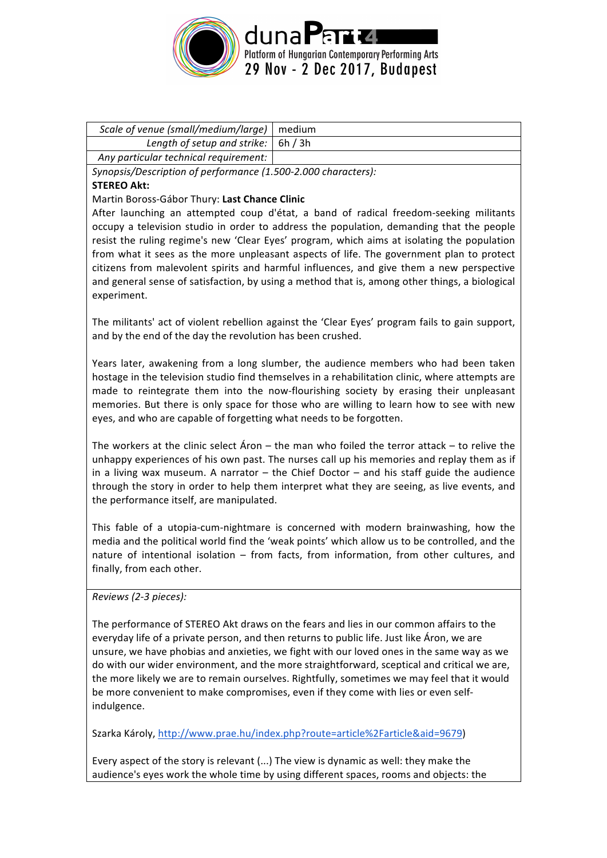

| Scale of venue (small/medium/large)   medium |  |
|----------------------------------------------|--|
| Length of setup and strike: $\vert$ 6h / 3h  |  |
| Any particular technical requirement:        |  |

*Synopsis/Description of performance (1.500-2.000 characters):* **STEREO Akt:**

Martin Boross-Gábor Thury: **Last Chance Clinic**

After launching an attempted coup d'état, a band of radical freedom-seeking militants occupy a television studio in order to address the population, demanding that the people resist the ruling regime's new 'Clear Eyes' program, which aims at isolating the population from what it sees as the more unpleasant aspects of life. The government plan to protect citizens from malevolent spirits and harmful influences, and give them a new perspective and general sense of satisfaction, by using a method that is, among other things, a biological experiment.

The militants' act of violent rebellion against the 'Clear Eyes' program fails to gain support, and by the end of the day the revolution has been crushed.

Years later, awakening from a long slumber, the audience members who had been taken hostage in the television studio find themselves in a rehabilitation clinic, where attempts are made to reintegrate them into the now-flourishing society by erasing their unpleasant memories. But there is only space for those who are willing to learn how to see with new eyes, and who are capable of forgetting what needs to be forgotten.

The workers at the clinic select Aron – the man who foiled the terror attack – to relive the unhappy experiences of his own past. The nurses call up his memories and replay them as if in a living wax museum. A narrator  $-$  the Chief Doctor  $-$  and his staff guide the audience through the story in order to help them interpret what they are seeing, as live events, and the performance itself, are manipulated.

This fable of a utopia-cum-nightmare is concerned with modern brainwashing, how the media and the political world find the 'weak points' which allow us to be controlled, and the nature of intentional isolation - from facts, from information, from other cultures, and finally, from each other.

*Reviews (2-3 pieces):* 

The performance of STEREO Akt draws on the fears and lies in our common affairs to the everyday life of a private person, and then returns to public life. Just like Aron, we are unsure, we have phobias and anxieties, we fight with our loved ones in the same way as we do with our wider environment, and the more straightforward, sceptical and critical we are, the more likely we are to remain ourselves. Rightfully, sometimes we may feel that it would be more convenient to make compromises, even if they come with lies or even selfindulgence.

Szarka Károly, http://www.prae.hu/index.php?route=article%2Farticle&aid=9679)

Every aspect of the story is relevant (...) The view is dynamic as well: they make the audience's eyes work the whole time by using different spaces, rooms and objects: the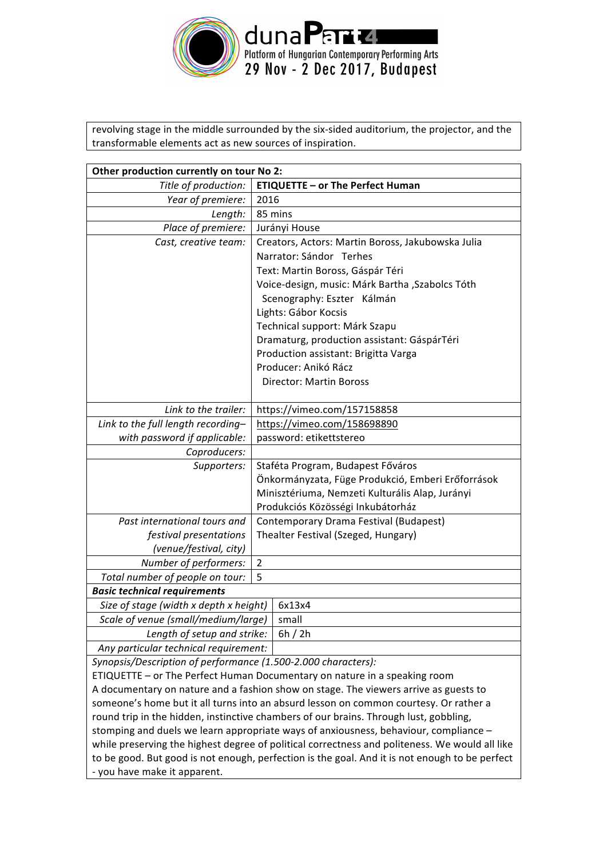

revolving stage in the middle surrounded by the six-sided auditorium, the projector, and the transformable elements act as new sources of inspiration.

| Other production currently on tour No 2:                                              |                                                   |  |
|---------------------------------------------------------------------------------------|---------------------------------------------------|--|
| Title of production:                                                                  | <b>ETIQUETTE - or The Perfect Human</b>           |  |
| Year of premiere:                                                                     | 2016                                              |  |
| Length:                                                                               | 85 mins                                           |  |
| Place of premiere:                                                                    | Jurányi House                                     |  |
| Cast, creative team:                                                                  | Creators, Actors: Martin Boross, Jakubowska Julia |  |
|                                                                                       | Narrator: Sándor Terhes                           |  |
|                                                                                       | Text: Martin Boross, Gáspár Téri                  |  |
|                                                                                       | Voice-design, music: Márk Bartha , Szabolcs Tóth  |  |
|                                                                                       | Scenography: Eszter Kálmán                        |  |
|                                                                                       | Lights: Gábor Kocsis                              |  |
|                                                                                       | Technical support: Márk Szapu                     |  |
|                                                                                       | Dramaturg, production assistant: GáspárTéri       |  |
|                                                                                       | Production assistant: Brigitta Varga              |  |
|                                                                                       | Producer: Anikó Rácz                              |  |
|                                                                                       | <b>Director: Martin Boross</b>                    |  |
|                                                                                       |                                                   |  |
| Link to the trailer:                                                                  | https://vimeo.com/157158858                       |  |
| Link to the full length recording-                                                    | https://vimeo.com/158698890                       |  |
| with password if applicable:                                                          | password: etikettstereo                           |  |
| Coproducers:                                                                          |                                                   |  |
| Supporters:                                                                           | Staféta Program, Budapest Főváros                 |  |
|                                                                                       | Önkormányzata, Füge Produkció, Emberi Erőforrások |  |
|                                                                                       | Minisztériuma, Nemzeti Kulturális Alap, Jurányi   |  |
|                                                                                       | Produkciós Közösségi Inkubátorház                 |  |
| Past international tours and                                                          | Contemporary Drama Festival (Budapest)            |  |
| festival presentations                                                                | Thealter Festival (Szeged, Hungary)               |  |
| (venue/festival, city)                                                                |                                                   |  |
| Number of performers:                                                                 | $\overline{2}$                                    |  |
| Total number of people on tour:                                                       | 5                                                 |  |
| <b>Basic technical requirements</b>                                                   |                                                   |  |
| Size of stage (width x depth x height)                                                | 6x13x4                                            |  |
| Scale of venue (small/medium/large)                                                   | small                                             |  |
| Length of setup and strike:                                                           | 6h / 2h                                           |  |
| Any particular technical requirement:                                                 |                                                   |  |
| Synopsis/Description of performance (1.500-2.000 characters):                         |                                                   |  |
| ETIQUETTE - or The Perfect Human Documentary on nature in a speaking room             |                                                   |  |
| A documentary on nature and a fashion show on stage. The viewers arrive as guests to  |                                                   |  |
| someone's home but it all turns into an absurd lesson on common courtesy. Or rather a |                                                   |  |

someone's home but it all turns into an absurd lesson on common courtesy. Or rather a round trip in the hidden, instinctive chambers of our brains. Through lust, gobbling, stomping and duels we learn appropriate ways of anxiousness, behaviour, compliance while preserving the highest degree of political correctness and politeness. We would all like to be good. But good is not enough, perfection is the goal. And it is not enough to be perfect - you have make it apparent.